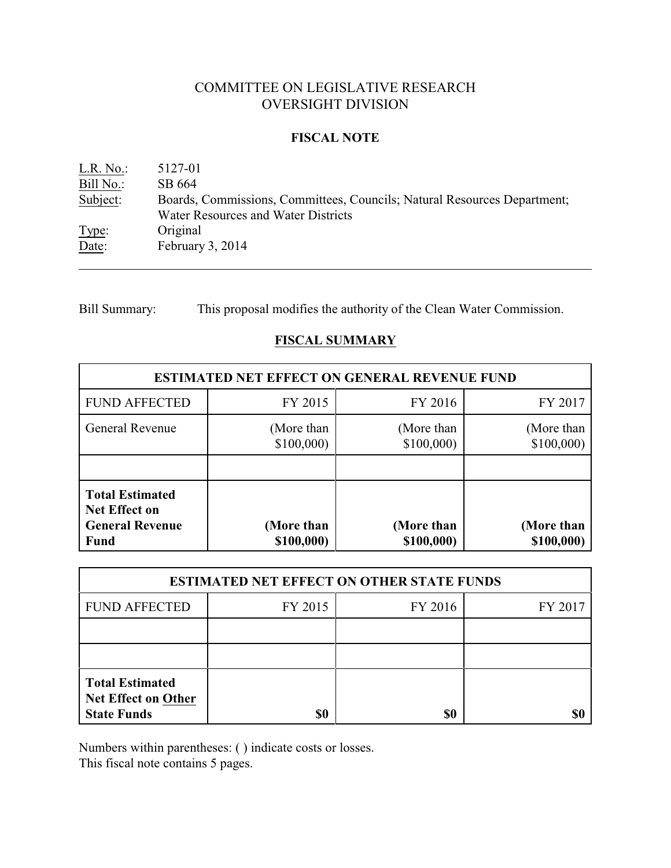# COMMITTEE ON LEGISLATIVE RESEARCH OVERSIGHT DIVISION

### **FISCAL NOTE**

L.R. No.: 5127-01 Bill No.: SB 664 Subject: Boards, Commissions, Committees, Councils; Natural Resources Department; Water Resources and Water Districts Type: Original Date: February 3, 2014

Bill Summary: This proposal modifies the authority of the Clean Water Commission.

# **FISCAL SUMMARY**

| <b>ESTIMATED NET EFFECT ON GENERAL REVENUE FUND</b>                                     |                          |                          |                          |  |
|-----------------------------------------------------------------------------------------|--------------------------|--------------------------|--------------------------|--|
| <b>FUND AFFECTED</b>                                                                    | FY 2015                  | FY 2016                  | FY 2017                  |  |
| General Revenue                                                                         | (More than<br>\$100,000  | (More than<br>\$100,000  | (More than<br>\$100,000  |  |
|                                                                                         |                          |                          |                          |  |
| <b>Total Estimated</b><br><b>Net Effect on</b><br><b>General Revenue</b><br><b>Fund</b> | (More than<br>\$100,000) | (More than<br>\$100,000) | (More than<br>\$100,000) |  |

| <b>ESTIMATED NET EFFECT ON OTHER STATE FUNDS</b>                    |         |         |         |  |
|---------------------------------------------------------------------|---------|---------|---------|--|
| <b>FUND AFFECTED</b>                                                | FY 2015 | FY 2016 | FY 2017 |  |
|                                                                     |         |         |         |  |
|                                                                     |         |         |         |  |
| <b>Total Estimated</b><br>Net Effect on Other<br><b>State Funds</b> | \$0     | \$0     |         |  |

Numbers within parentheses: ( ) indicate costs or losses.

This fiscal note contains 5 pages.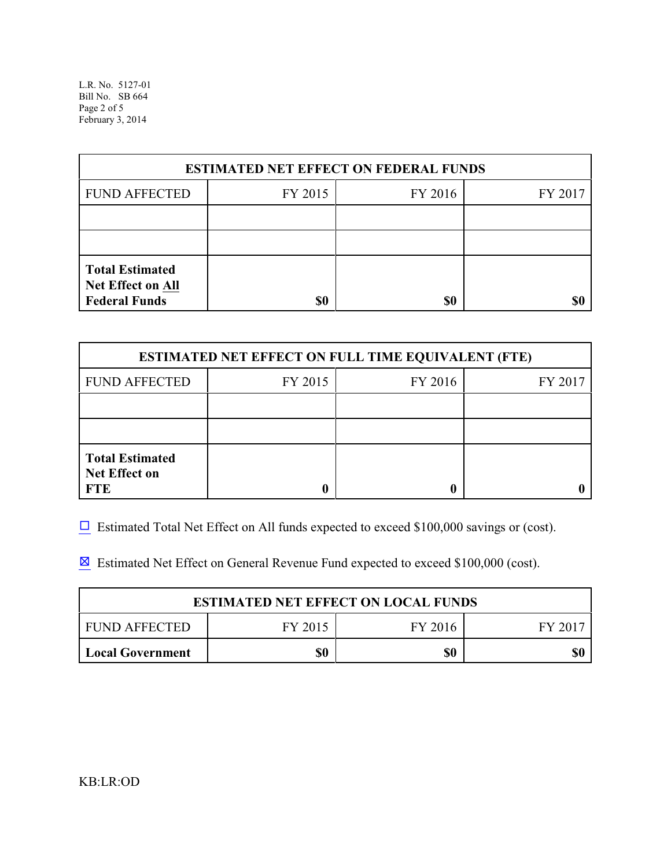L.R. No. 5127-01 Bill No. SB 664 Page 2 of 5 February 3, 2014

| <b>ESTIMATED NET EFFECT ON FEDERAL FUNDS</b>                        |         |         |         |  |
|---------------------------------------------------------------------|---------|---------|---------|--|
| <b>FUND AFFECTED</b>                                                | FY 2015 | FY 2016 | FY 2017 |  |
|                                                                     |         |         |         |  |
|                                                                     |         |         |         |  |
| <b>Total Estimated</b><br>Net Effect on All<br><b>Federal Funds</b> | \$0     | \$0     |         |  |

| <b>ESTIMATED NET EFFECT ON FULL TIME EQUIVALENT (FTE)</b>    |         |         |         |  |
|--------------------------------------------------------------|---------|---------|---------|--|
| <b>FUND AFFECTED</b>                                         | FY 2015 | FY 2016 | FY 2017 |  |
|                                                              |         |         |         |  |
|                                                              |         |         |         |  |
| <b>Total Estimated</b><br><b>Net Effect on</b><br><b>FTE</b> |         |         |         |  |

 $\Box$  Estimated Total Net Effect on All funds expected to exceed \$100,000 savings or (cost).

**Estimated Net Effect on General Revenue Fund expected to exceed \$100,000 (cost).** 

| <b>ESTIMATED NET EFFECT ON LOCAL FUNDS</b> |         |         |       |  |
|--------------------------------------------|---------|---------|-------|--|
| FUND AFFECTED                              | FY 2015 | FY 2016 | FV 20 |  |
| Local Government                           |         | \$0     |       |  |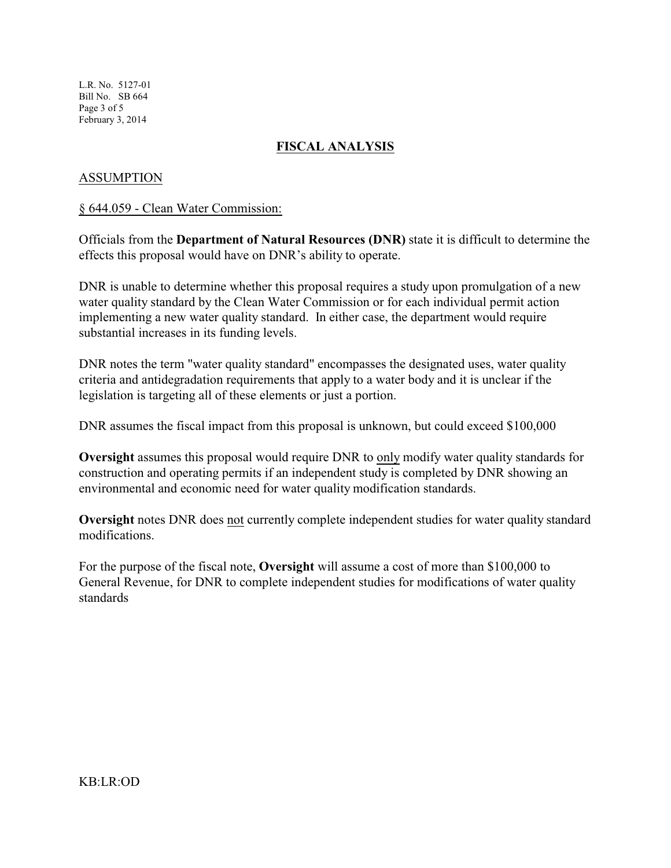L.R. No. 5127-01 Bill No. SB 664 Page 3 of 5 February 3, 2014

## **FISCAL ANALYSIS**

### ASSUMPTION

#### § 644.059 - Clean Water Commission:

Officials from the **Department of Natural Resources (DNR)** state it is difficult to determine the effects this proposal would have on DNR's ability to operate.

DNR is unable to determine whether this proposal requires a study upon promulgation of a new water quality standard by the Clean Water Commission or for each individual permit action implementing a new water quality standard. In either case, the department would require substantial increases in its funding levels.

DNR notes the term "water quality standard" encompasses the designated uses, water quality criteria and antidegradation requirements that apply to a water body and it is unclear if the legislation is targeting all of these elements or just a portion.

DNR assumes the fiscal impact from this proposal is unknown, but could exceed \$100,000

**Oversight** assumes this proposal would require DNR to only modify water quality standards for construction and operating permits if an independent study is completed by DNR showing an environmental and economic need for water quality modification standards.

**Oversight** notes DNR does not currently complete independent studies for water quality standard modifications.

For the purpose of the fiscal note, **Oversight** will assume a cost of more than \$100,000 to General Revenue, for DNR to complete independent studies for modifications of water quality standards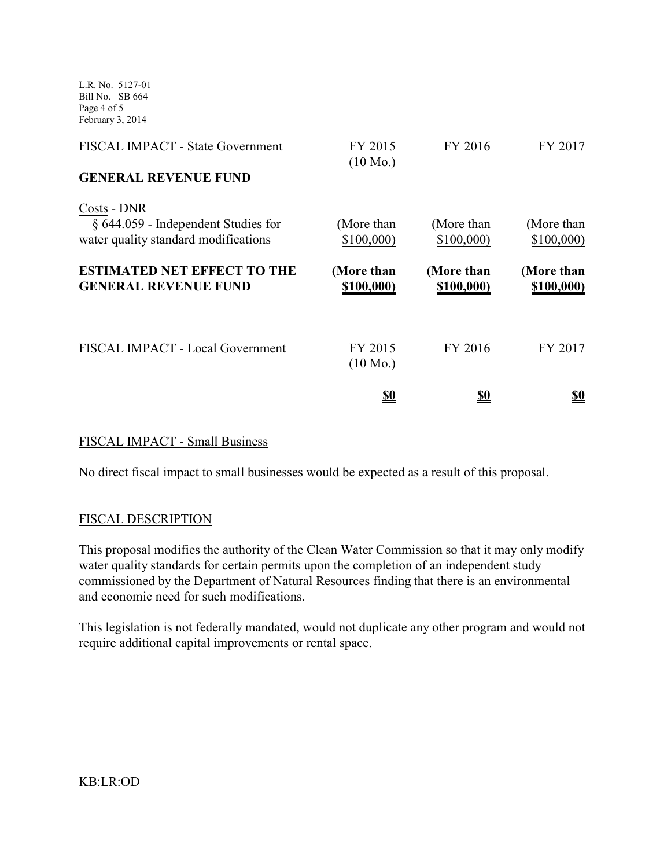L.R. No. 5127-01 Bill No. SB 664 Page 4 of 5 February 3, 2014

| <b>FISCAL IMPACT - State Government</b>                                                       | FY 2015<br>$(10 \text{ Mo.})$ | FY 2016                  | FY 2017                  |
|-----------------------------------------------------------------------------------------------|-------------------------------|--------------------------|--------------------------|
| <b>GENERAL REVENUE FUND</b>                                                                   |                               |                          |                          |
| Costs - DNR<br>$\S$ 644.059 - Independent Studies for<br>water quality standard modifications | (More than<br>\$100,000       | (More than<br>\$100,000  | (More than<br>\$100,000  |
| <b>ESTIMATED NET EFFECT TO THE</b><br><b>GENERAL REVENUE FUND</b>                             | (More than<br>\$100,000)      | (More than<br>\$100,000) | (More than<br>\$100,000) |
| FISCAL IMPACT - Local Government                                                              | FY 2015<br>$(10 \text{ Mo.})$ | FY 2016                  | FY 2017                  |
|                                                                                               | <u>\$0</u>                    | <u>so</u>                | <u>\$0</u>               |

### FISCAL IMPACT - Small Business

No direct fiscal impact to small businesses would be expected as a result of this proposal.

#### FISCAL DESCRIPTION

This proposal modifies the authority of the Clean Water Commission so that it may only modify water quality standards for certain permits upon the completion of an independent study commissioned by the Department of Natural Resources finding that there is an environmental and economic need for such modifications.

This legislation is not federally mandated, would not duplicate any other program and would not require additional capital improvements or rental space.